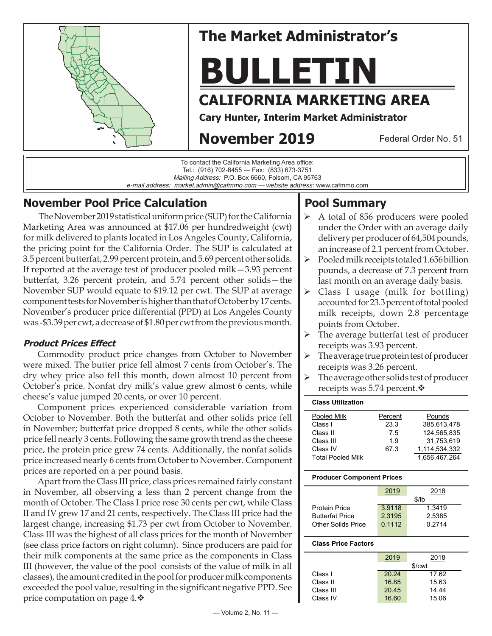

# **The Market Administrator's**

# **BULLETIN**

# **CALIFORNIA MARKETING AREA**

**Cary Hunter, Interim Market Administrator**

# **November 2019**

Federal Order No. 51

To contact the California Marketing Area office: Tel.: (916) 702-6455 — Fax: (833) 673-3751 Mailing Address: P.O. Box 6660, Folsom, CA 95763 e-mail address: market.admin@cafmmo.com — *website address*: www.cafmmo.com

## **November Pool Price Calculation**

 The November 2019 statistical uniform price (SUP) for the California Marketing Area was announced at \$17.06 per hundredweight (cwt) for milk delivered to plants located in Los Angeles County, California, the pricing point for the California Order. The SUP is calculated at 3.5 percent butterfat, 2.99 percent protein, and 5.69 percent other solids. If reported at the average test of producer pooled milk—3.93 percent butterfat, 3.26 percent protein, and 5.74 percent other solids—the November SUP would equate to \$19.12 per cwt. The SUP at average component tests for November is higher than that of October by 17 cents. November's producer price differential (PPD) at Los Angeles County was -\$3.39 per cwt, a decrease of \$1.80 per cwt from the previous month.

#### **Product Prices Effect**

Commodity product price changes from October to November were mixed. The butter price fell almost 7 cents from October's. The dry whey price also fell this month, down almost 10 percent from October's price. Nonfat dry milk's value grew almost 6 cents, while cheese's value jumped 20 cents, or over 10 percent.

Component prices experienced considerable variation from October to November. Both the butterfat and other solids price fell in November; butterfat price dropped 8 cents, while the other solids price fell nearly 3 cents. Following the same growth trend as the cheese price, the protein price grew 74 cents. Additionally, the nonfat solids price increased nearly 6 cents from October to November. Component prices are reported on a per pound basis.

Apart from the Class III price, class prices remained fairly constant in November, all observing a less than 2 percent change from the month of October. The Class I price rose 30 cents per cwt, while Class II and IV grew 17 and 21 cents, respectively. The Class III price had the largest change, increasing \$1.73 per cwt from October to November. Class III was the highest of all class prices for the month of November (see class price factors on right column). Since producers are paid for their milk components at the same price as the components in Class III (however, the value of the pool consists of the value of milk in all classes), the amount credited in the pool for producer milk components exceeded the pool value, resulting in the significant negative PPD. See price computation on page  $4.\,$ 

## **Pool Summary**

- $\triangleright$  A total of 856 producers were pooled under the Order with an average daily delivery per producer of 64,504 pounds, an increase of 2.1 percent from October.
- $\triangleright$  Pooled milk receipts totaled 1.656 billion pounds, a decrease of 7.3 percent from last month on an average daily basis.
- $\triangleright$  Class I usage (milk for bottling) accounted for 23.3 percent of total pooled milk receipts, down 2.8 percentage points from October.
- $\triangleright$  The average butterfat test of producer receipts was 3.93 percent.
- $\triangleright$  The average true protein test of producer receipts was 3.26 percent.
- $\triangleright$  The average other solids test of producer receipts was 5.74 percent.  $\diamond$

#### **Class Utilization** Poole<u>d Milk</u> Percent Pounds Class I 23.3 385,613,478 Class II 7.5 124,565,835 Class III 1.9 31,753,619 Class IV 67.3 1,114,534,332 Total Pooled Milk 1,656,467,264

#### **Producer Component Prices**

|                        | 2019   | 2018   |  |
|------------------------|--------|--------|--|
|                        | \$/lb  |        |  |
| <b>Protein Price</b>   | 3.9118 | 1.3419 |  |
| <b>Butterfat Price</b> | 2.3195 | 2.5385 |  |
| Other Solids Price     | 0.1112 | 0.2714 |  |
|                        |        |        |  |

#### **Class Price Factors**

| 2019   | 2018  |  |  |
|--------|-------|--|--|
| \$/cwt |       |  |  |
| 20.24  | 17.62 |  |  |
| 16.85  | 15.63 |  |  |
| 20.45  | 14.44 |  |  |
| 16.60  | 15.06 |  |  |
|        |       |  |  |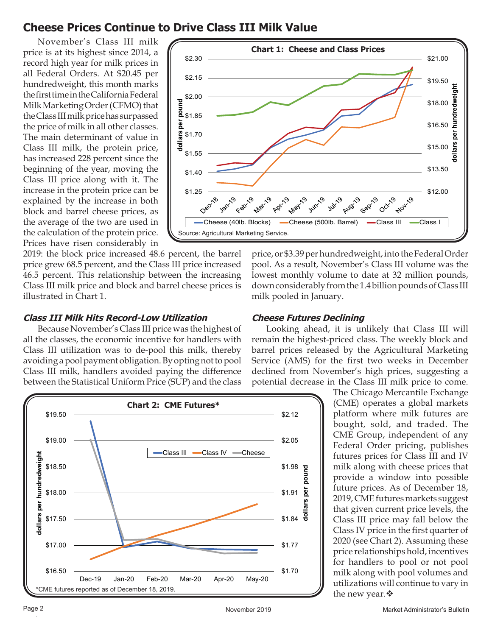### **Cheese Prices Continue to Drive Class III Milk Value**

November's Class III milk price is at its highest since 2014, a record high year for milk prices in all Federal Orders. At \$20.45 per hundredweight, this month marks the first time in the California Federal Milk Marketing Order (CFMO) that the Class III milk price has surpassed the price of milk in all other classes. The main determinant of value in Class III milk, the protein price, has increased 228 percent since the beginning of the year, moving the Class III price along with it. The increase in the protein price can be explained by the increase in both block and barrel cheese prices, as the average of the two are used in the calculation of the protein price. Prices have risen considerably in

2019: the block price increased 48.6 percent, the barrel price grew 68.5 percent, and the Class III price increased 46.5 percent. This relationship between the increasing Class III milk price and block and barrel cheese prices is illustrated in Chart 1.

#### **Class III Milk Hits Record-Low Utilization**

Because November's Class III price was the highest of all the classes, the economic incentive for handlers with Class III utilization was to de-pool this milk, thereby avoiding a pool payment obligation. By opting not to pool Class III milk, handlers avoided paying the difference between the Statistical Uniform Price (SUP) and the class





price, or \$3.39 per hundredweight, into the Federal Order pool. As a result, November's Class III volume was the lowest monthly volume to date at 32 million pounds, down considerably from the 1.4 billion pounds of Class III milk pooled in January.

#### **Cheese Futures Declining**

Looking ahead, it is unlikely that Class III will remain the highest-priced class. The weekly block and barrel prices released by the Agricultural Marketing Service (AMS) for the first two weeks in December declined from November's high prices, suggesting a potential decrease in the Class III milk price to come.

The Chicago Mercantile Exchange (CME) operates a global markets platform where milk futures are bought, sold, and traded. The CME Group, independent of any Federal Order pricing, publishes futures prices for Class III and IV milk along with cheese prices that provide a window into possible future prices. As of December 18, 2019, CME futures markets suggest that given current price levels, the Class III price may fall below the Class IV price in the first quarter of 2020 (see Chart 2). Assuming these price relationships hold, incentives for handlers to pool or not pool milk along with pool volumes and utilizations will continue to vary in the new year.  $\mathbf{\hat{*}}$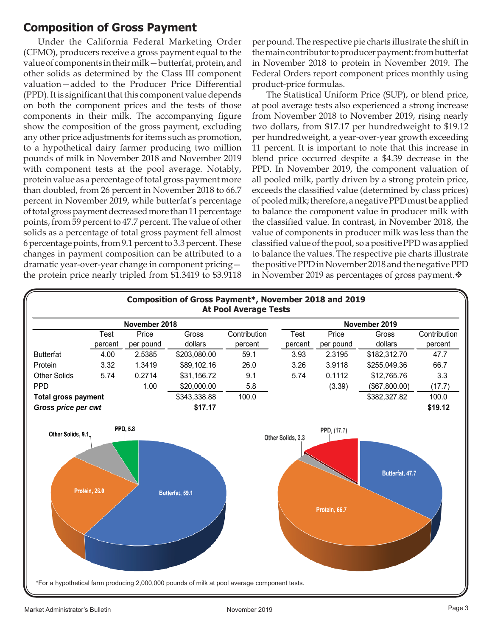## **Composition of Gross Payment**

Under the California Federal Marketing Order (CFMO), producers receive a gross payment equal to the value of components in their milk—butterfat, protein, and other solids as determined by the Class III component valuation—added to the Producer Price Differential (PPD). It is significant that this component value depends on both the component prices and the tests of those components in their milk. The accompanying figure show the composition of the gross payment, excluding any other price adjustments for items such as promotion, to a hypothetical dairy farmer producing two million pounds of milk in November 2018 and November 2019 with component tests at the pool average. Notably, protein value as a percentage of total gross payment more than doubled, from 26 percent in November 2018 to 66.7 percent in November 2019, while butterfat's percentage of total gross payment decreased more than 11 percentage points, from 59 percent to 47.7 percent. The value of other solids as a percentage of total gross payment fell almost 6 percentage points, from 9.1 percent to 3.3 percent. These changes in payment composition can be attributed to a dramatic year-over-year change in component pricing the protein price nearly tripled from \$1.3419 to \$3.9118

per pound. The respective pie charts illustrate the shift in the main contributor to producer payment: from butterfat in November 2018 to protein in November 2019. The Federal Orders report component prices monthly using product-price formulas.

The Statistical Uniform Price (SUP), or blend price, at pool average tests also experienced a strong increase from November 2018 to November 2019, rising nearly two dollars, from \$17.17 per hundredweight to \$19.12 per hundredweight, a year-over-year growth exceeding 11 percent. It is important to note that this increase in blend price occurred despite a \$4.39 decrease in the PPD. In November 2019, the component valuation of all pooled milk, partly driven by a strong protein price, exceeds the classified value (determined by class prices) of pooled milk; therefore, a negative PPD must be applied to balance the component value in producer milk with the classified value. In contrast, in November 2018, the value of components in producer milk was less than the classified value of the pool, so a positive PPD was applied to balance the values. The respective pie charts illustrate the positive PPD in November 2018 and the negative PPD in November 2019 as percentages of gross payment.